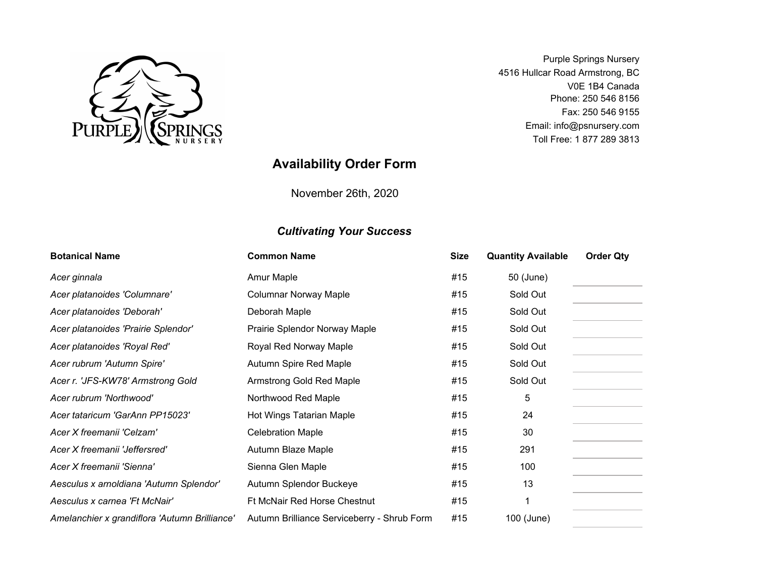

Purple Springs Nursery 4516 Hullcar Road Armstrong, BC V0E 1B4 Canada Phone: 250 546 8156 Fax: 250 546 9155 Email: info@psnursery.com Toll Free: 1 877 289 3813

## **Availability Order Form**

November 26th, 2020

## *Cultivating Your Success*

| <b>Botanical Name</b>                         | <b>Common Name</b>                          | <b>Size</b> | <b>Quantity Available</b> | <b>Order Qty</b> |
|-----------------------------------------------|---------------------------------------------|-------------|---------------------------|------------------|
| Acer ginnala                                  | Amur Maple                                  | #15         | 50 (June)                 |                  |
| Acer platanoides 'Columnare'                  | <b>Columnar Norway Maple</b>                | #15         | Sold Out                  |                  |
| Acer platanoides 'Deborah'                    | Deborah Maple                               | #15         | Sold Out                  |                  |
| Acer platanoides 'Prairie Splendor'           | Prairie Splendor Norway Maple               | #15         | Sold Out                  |                  |
| Acer platanoides 'Royal Red'                  | Royal Red Norway Maple                      | #15         | Sold Out                  |                  |
| Acer rubrum 'Autumn Spire'                    | Autumn Spire Red Maple                      | #15         | Sold Out                  |                  |
| Acer r. 'JFS-KW78' Armstrong Gold             | Armstrong Gold Red Maple                    | #15         | Sold Out                  |                  |
| Acer rubrum 'Northwood'                       | Northwood Red Maple                         | #15         | 5                         |                  |
| Acer tataricum 'GarAnn PP15023'               | Hot Wings Tatarian Maple                    | #15         | 24                        |                  |
| Acer X freemanii 'Celzam'                     | <b>Celebration Maple</b>                    | #15         | 30                        |                  |
| Acer X freemanii 'Jeffersred'                 | Autumn Blaze Maple                          | #15         | 291                       |                  |
| Acer X freemanii 'Sienna'                     | Sienna Glen Maple                           | #15         | 100                       |                  |
| Aesculus x arnoldiana 'Autumn Splendor'       | Autumn Splendor Buckeye                     | #15         | 13                        |                  |
| Aesculus x carnea 'Ft McNair'                 | Ft McNair Red Horse Chestnut                | #15         | 1                         |                  |
| Amelanchier x grandiflora 'Autumn Brilliance' | Autumn Brilliance Serviceberry - Shrub Form | #15         | 100 (June)                |                  |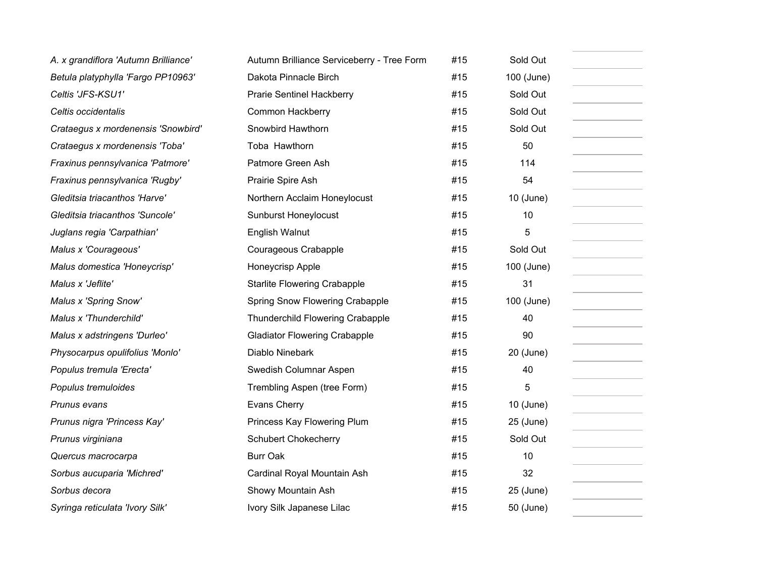| A. x grandiflora 'Autumn Brilliance' | Autumn Brilliance Serviceberry - Tree Form | #15 | Sold Out    |
|--------------------------------------|--------------------------------------------|-----|-------------|
| Betula platyphylla 'Fargo PP10963'   | Dakota Pinnacle Birch                      | #15 | 100 (June)  |
| Celtis 'JFS-KSU1'                    | <b>Prarie Sentinel Hackberry</b>           | #15 | Sold Out    |
| Celtis occidentalis                  | Common Hackberry                           | #15 | Sold Out    |
| Crataegus x mordenensis 'Snowbird'   | Snowbird Hawthorn                          | #15 | Sold Out    |
| Crataegus x mordenensis 'Toba'       | Toba Hawthorn                              | #15 | 50          |
| Fraxinus pennsylvanica 'Patmore'     | Patmore Green Ash                          | #15 | 114         |
| Fraxinus pennsylvanica 'Rugby'       | Prairie Spire Ash                          | #15 | 54          |
| Gleditsia triacanthos 'Harve'        | Northern Acclaim Honeylocust               | #15 | $10$ (June) |
| Gleditsia triacanthos 'Suncole'      | Sunburst Honeylocust                       | #15 | 10          |
| Juglans regia 'Carpathian'           | English Walnut                             | #15 | 5           |
| Malus x 'Courageous'                 | Courageous Crabapple                       | #15 | Sold Out    |
| Malus domestica 'Honeycrisp'         | Honeycrisp Apple                           | #15 | 100 (June)  |
| Malus x 'Jeflite'                    | <b>Starlite Flowering Crabapple</b>        | #15 | 31          |
| Malus x 'Spring Snow'                | Spring Snow Flowering Crabapple            | #15 | 100 (June)  |
| Malus x 'Thunderchild'               | Thunderchild Flowering Crabapple           | #15 | 40          |
| Malus x adstringens 'Durleo'         | <b>Gladiator Flowering Crabapple</b>       | #15 | 90          |
| Physocarpus opulifolius 'Monlo'      | Diablo Ninebark                            | #15 | 20 (June)   |
| Populus tremula 'Erecta'             | Swedish Columnar Aspen                     | #15 | 40          |
| Populus tremuloides                  | Trembling Aspen (tree Form)                | #15 | 5           |
| Prunus evans                         | Evans Cherry                               | #15 | $10$ (June) |
| Prunus nigra 'Princess Kay'          | Princess Kay Flowering Plum                | #15 | 25 (June)   |
| Prunus virginiana                    | <b>Schubert Chokecherry</b>                | #15 | Sold Out    |
| Quercus macrocarpa                   | <b>Burr Oak</b>                            | #15 | 10          |
| Sorbus aucuparia 'Michred'           | Cardinal Royal Mountain Ash                | #15 | 32          |
| Sorbus decora                        | Showy Mountain Ash                         | #15 | 25 (June)   |
| Syringa reticulata 'Ivory Silk'      | Ivory Silk Japanese Lilac                  | #15 | 50 (June)   |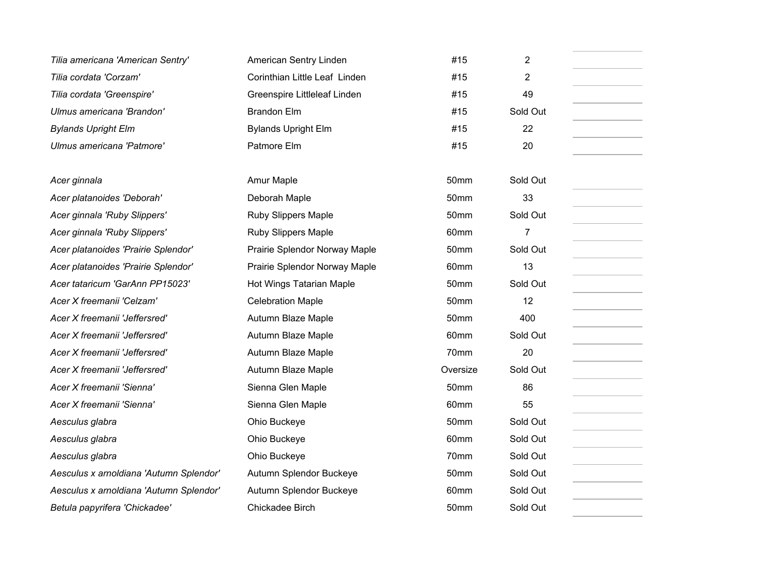| Tilia americana 'American Sentry'       | American Sentry Linden        | #15              | 2        |
|-----------------------------------------|-------------------------------|------------------|----------|
| Tilia cordata 'Corzam'                  | Corinthian Little Leaf Linden | #15              | 2        |
| Tilia cordata 'Greenspire'              | Greenspire Littleleaf Linden  | #15              | 49       |
| Ulmus americana 'Brandon'               | <b>Brandon Elm</b>            | #15              | Sold Out |
| <b>Bylands Upright Elm</b>              | <b>Bylands Upright Elm</b>    | #15              | 22       |
| Ulmus americana 'Patmore'               | Patmore Elm                   | #15              | 20       |
|                                         |                               |                  |          |
| Acer ginnala                            | Amur Maple                    | 50 <sub>mm</sub> | Sold Out |
| Acer platanoides 'Deborah'              | Deborah Maple                 | 50mm             | 33       |
| Acer ginnala 'Ruby Slippers'            | <b>Ruby Slippers Maple</b>    | 50mm             | Sold Out |
| Acer ginnala 'Ruby Slippers'            | <b>Ruby Slippers Maple</b>    | 60mm             | 7        |
| Acer platanoides 'Prairie Splendor'     | Prairie Splendor Norway Maple | 50mm             | Sold Out |
| Acer platanoides 'Prairie Splendor'     | Prairie Splendor Norway Maple | 60mm             | 13       |
| Acer tataricum 'GarAnn PP15023'         | Hot Wings Tatarian Maple      | 50mm             | Sold Out |
| Acer X freemanii 'Celzam'               | <b>Celebration Maple</b>      | 50mm             | 12       |
| Acer X freemanii 'Jeffersred'           | Autumn Blaze Maple            | 50mm             | 400      |
| Acer X freemanii 'Jeffersred'           | Autumn Blaze Maple            | 60mm             | Sold Out |
| Acer X freemanii 'Jeffersred'           | Autumn Blaze Maple            | 70mm             | 20       |
| Acer X freemanii 'Jeffersred'           | Autumn Blaze Maple            | Oversize         | Sold Out |
| Acer X freemanii 'Sienna'               | Sienna Glen Maple             | 50mm             | 86       |
| Acer X freemanii 'Sienna'               | Sienna Glen Maple             | 60mm             | 55       |
| Aesculus glabra                         | Ohio Buckeye                  | 50mm             | Sold Out |
| Aesculus glabra                         | Ohio Buckeye                  | 60mm             | Sold Out |
| Aesculus glabra                         | Ohio Buckeye                  | 70mm             | Sold Out |
| Aesculus x arnoldiana 'Autumn Splendor' | Autumn Splendor Buckeye       | 50mm             | Sold Out |
| Aesculus x arnoldiana 'Autumn Splendor' | Autumn Splendor Buckeye       | 60mm             | Sold Out |
| Betula papyrifera 'Chickadee'           | Chickadee Birch               | 50mm             | Sold Out |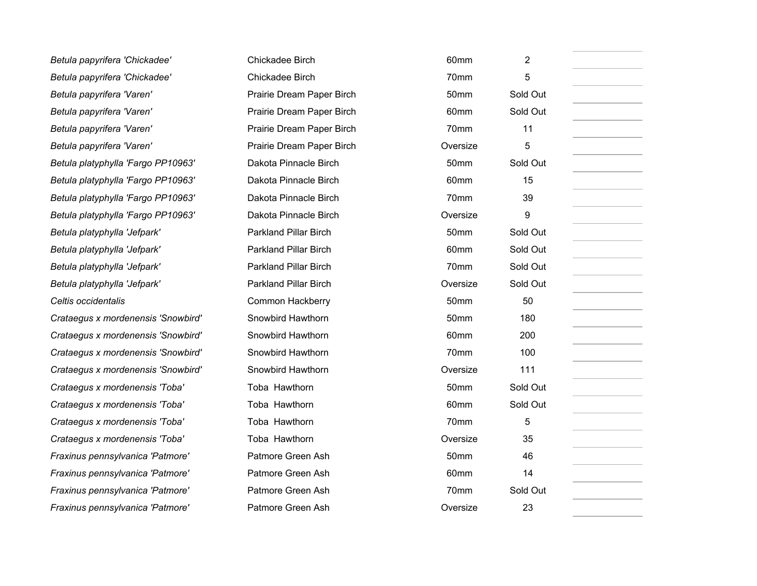| Betula papyrifera 'Chickadee'      | Chickadee Birch              | 60mm             | $\overline{2}$ |  |
|------------------------------------|------------------------------|------------------|----------------|--|
| Betula papyrifera 'Chickadee'      | Chickadee Birch              | 70mm             | 5              |  |
| Betula papyrifera 'Varen'          | Prairie Dream Paper Birch    | 50mm             | Sold Out       |  |
| Betula papyrifera 'Varen'          | Prairie Dream Paper Birch    | 60mm             | Sold Out       |  |
| Betula papyrifera 'Varen'          | Prairie Dream Paper Birch    | 70mm             | 11             |  |
| Betula papyrifera 'Varen'          | Prairie Dream Paper Birch    | Oversize         | 5              |  |
| Betula platyphylla 'Fargo PP10963' | Dakota Pinnacle Birch        | 50mm             | Sold Out       |  |
| Betula platyphylla 'Fargo PP10963' | Dakota Pinnacle Birch        | 60mm             | 15             |  |
| Betula platyphylla 'Fargo PP10963' | Dakota Pinnacle Birch        | 70mm             | 39             |  |
| Betula platyphylla 'Fargo PP10963' | Dakota Pinnacle Birch        | Oversize         | 9              |  |
| Betula platyphylla 'Jefpark'       | <b>Parkland Pillar Birch</b> | 50mm             | Sold Out       |  |
| Betula platyphylla 'Jefpark'       | <b>Parkland Pillar Birch</b> | 60mm             | Sold Out       |  |
| Betula platyphylla 'Jefpark'       | <b>Parkland Pillar Birch</b> | 70mm             | Sold Out       |  |
| Betula platyphylla 'Jefpark'       | <b>Parkland Pillar Birch</b> | Oversize         | Sold Out       |  |
| Celtis occidentalis                | Common Hackberry             | 50mm             | 50             |  |
| Crataegus x mordenensis 'Snowbird' | Snowbird Hawthorn            | 50mm             | 180            |  |
| Crataegus x mordenensis 'Snowbird' | Snowbird Hawthorn            | 60mm             | 200            |  |
| Crataegus x mordenensis 'Snowbird' | Snowbird Hawthorn            | 70mm             | 100            |  |
| Crataegus x mordenensis 'Snowbird' | Snowbird Hawthorn            | Oversize         | 111            |  |
| Crataegus x mordenensis 'Toba'     | Toba Hawthorn                | 50mm             | Sold Out       |  |
| Crataegus x mordenensis 'Toba'     | Toba Hawthorn                | 60mm             | Sold Out       |  |
| Crataegus x mordenensis 'Toba'     | Toba Hawthorn                | 70mm             | 5              |  |
| Crataegus x mordenensis 'Toba'     | Toba Hawthorn                | Oversize         | 35             |  |
| Fraxinus pennsylvanica 'Patmore'   | Patmore Green Ash            | 50 <sub>mm</sub> | 46             |  |
| Fraxinus pennsylvanica 'Patmore'   | Patmore Green Ash            | 60mm             | 14             |  |
| Fraxinus pennsylvanica 'Patmore'   | Patmore Green Ash            | 70mm             | Sold Out       |  |
| Fraxinus pennsylvanica 'Patmore'   | Patmore Green Ash            | Oversize         | 23             |  |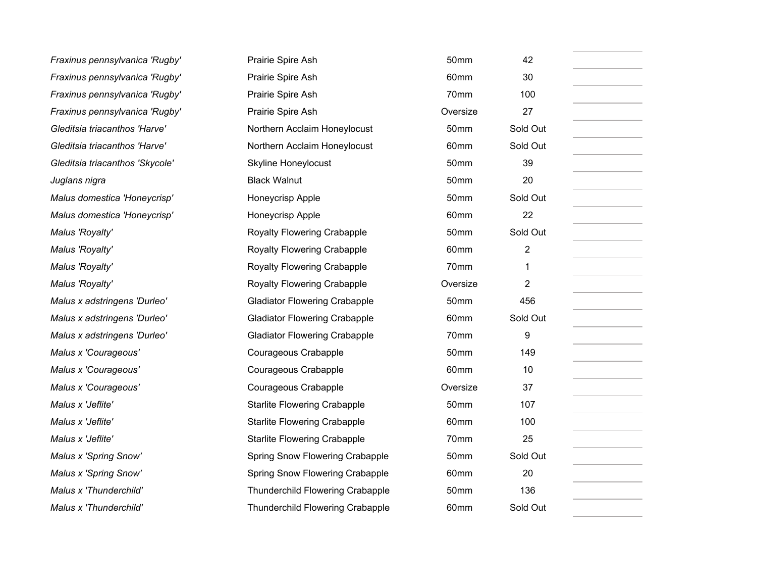| Fraxinus pennsylvanica 'Rugby'  | Prairie Spire Ash                    | 50mm     | 42       |
|---------------------------------|--------------------------------------|----------|----------|
| Fraxinus pennsylvanica 'Rugby'  | Prairie Spire Ash                    | 60mm     | 30       |
| Fraxinus pennsylvanica 'Rugby'  | Prairie Spire Ash                    | 70mm     | 100      |
| Fraxinus pennsylvanica 'Rugby'  | Prairie Spire Ash                    | Oversize | 27       |
| Gleditsia triacanthos 'Harve'   | Northern Acclaim Honeylocust         | 50mm     | Sold Out |
| Gleditsia triacanthos 'Harve'   | Northern Acclaim Honeylocust         | 60mm     | Sold Out |
| Gleditsia triacanthos 'Skycole' | <b>Skyline Honeylocust</b>           | 50mm     | 39       |
| Juglans nigra                   | <b>Black Walnut</b>                  | 50mm     | 20       |
| Malus domestica 'Honeycrisp'    | Honeycrisp Apple                     | 50mm     | Sold Out |
| Malus domestica 'Honeycrisp'    | Honeycrisp Apple                     | 60mm     | 22       |
| Malus 'Royalty'                 | Royalty Flowering Crabapple          | 50mm     | Sold Out |
| Malus 'Royalty'                 | Royalty Flowering Crabapple          | 60mm     | 2        |
| Malus 'Royalty'                 | Royalty Flowering Crabapple          | 70mm     | 1        |
| Malus 'Royalty'                 | Royalty Flowering Crabapple          | Oversize | 2        |
| Malus x adstringens 'Durleo'    | <b>Gladiator Flowering Crabapple</b> | 50mm     | 456      |
| Malus x adstringens 'Durleo'    | <b>Gladiator Flowering Crabapple</b> | 60mm     | Sold Out |
| Malus x adstringens 'Durleo'    | <b>Gladiator Flowering Crabapple</b> | 70mm     | 9        |
| Malus x 'Courageous'            | Courageous Crabapple                 | 50mm     | 149      |
| Malus x 'Courageous'            | Courageous Crabapple                 | 60mm     | 10       |
| Malus x 'Courageous'            | Courageous Crabapple                 | Oversize | 37       |
| Malus x 'Jeflite'               | <b>Starlite Flowering Crabapple</b>  | 50mm     | 107      |
| Malus x 'Jeflite'               | <b>Starlite Flowering Crabapple</b>  | 60mm     | 100      |
| Malus x 'Jeflite'               | <b>Starlite Flowering Crabapple</b>  | 70mm     | 25       |
| Malus x 'Spring Snow'           | Spring Snow Flowering Crabapple      | 50mm     | Sold Out |
| Malus x 'Spring Snow'           | Spring Snow Flowering Crabapple      | 60mm     | 20       |
| Malus x 'Thunderchild'          | Thunderchild Flowering Crabapple     | 50mm     | 136      |
| Malus x 'Thunderchild'          | Thunderchild Flowering Crabapple     | 60mm     | Sold Out |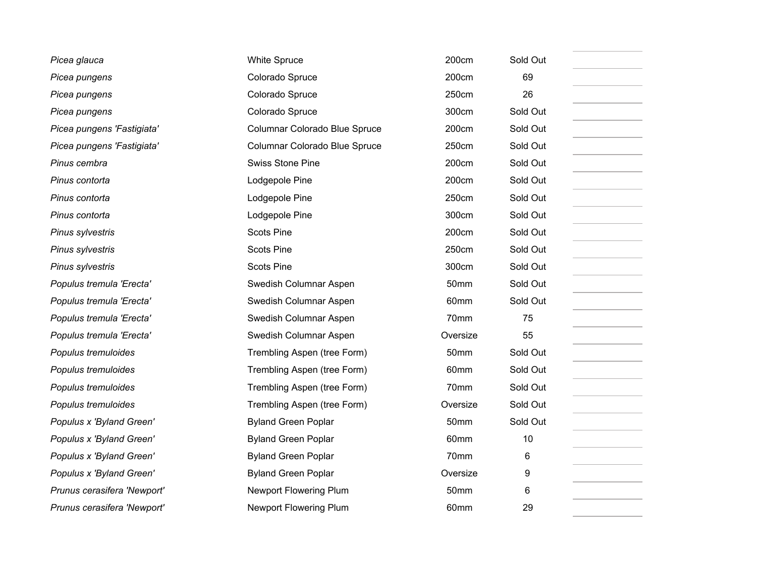| Picea glauca                | <b>White Spruce</b>           | 200cm            | Sold Out |
|-----------------------------|-------------------------------|------------------|----------|
| Picea pungens               | Colorado Spruce               | 200cm            | 69       |
| Picea pungens               | Colorado Spruce               | 250cm            | 26       |
| Picea pungens               | Colorado Spruce               | 300cm            | Sold Out |
| Picea pungens 'Fastigiata'  | Columnar Colorado Blue Spruce | 200cm            | Sold Out |
| Picea pungens 'Fastigiata'  | Columnar Colorado Blue Spruce | 250cm            | Sold Out |
| Pinus cembra                | <b>Swiss Stone Pine</b>       | 200cm            | Sold Out |
| Pinus contorta              | Lodgepole Pine                | 200cm            | Sold Out |
| Pinus contorta              | Lodgepole Pine                | 250cm            | Sold Out |
| Pinus contorta              | Lodgepole Pine                | 300cm            | Sold Out |
| Pinus sylvestris            | <b>Scots Pine</b>             | 200cm            | Sold Out |
| Pinus sylvestris            | <b>Scots Pine</b>             | 250cm            | Sold Out |
| Pinus sylvestris            | <b>Scots Pine</b>             | 300cm            | Sold Out |
| Populus tremula 'Erecta'    | Swedish Columnar Aspen        | 50mm             | Sold Out |
| Populus tremula 'Erecta'    | Swedish Columnar Aspen        | 60mm             | Sold Out |
| Populus tremula 'Erecta'    | Swedish Columnar Aspen        | 70mm             | 75       |
| Populus tremula 'Erecta'    | Swedish Columnar Aspen        | Oversize         | 55       |
| Populus tremuloides         | Trembling Aspen (tree Form)   | 50mm             | Sold Out |
| Populus tremuloides         | Trembling Aspen (tree Form)   | 60mm             | Sold Out |
| Populus tremuloides         | Trembling Aspen (tree Form)   | 70mm             | Sold Out |
| Populus tremuloides         | Trembling Aspen (tree Form)   | Oversize         | Sold Out |
| Populus x 'Byland Green'    | <b>Byland Green Poplar</b>    | 50mm             | Sold Out |
| Populus x 'Byland Green'    | <b>Byland Green Poplar</b>    | 60 <sub>mm</sub> | 10       |
| Populus x 'Byland Green'    | <b>Byland Green Poplar</b>    | 70mm             | 6        |
| Populus x 'Byland Green'    | <b>Byland Green Poplar</b>    | Oversize         | 9        |
| Prunus cerasifera 'Newport' | Newport Flowering Plum        | 50mm             | 6        |
| Prunus cerasifera 'Newport' | <b>Newport Flowering Plum</b> | 60mm             | 29       |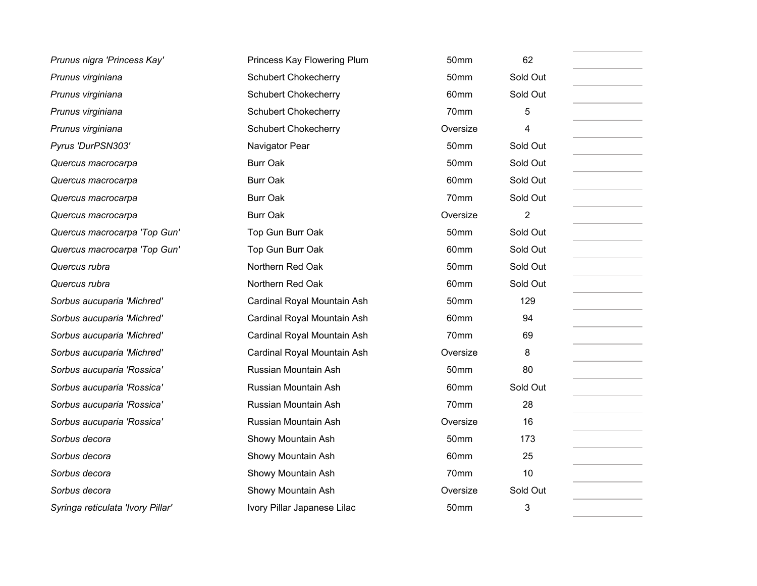| Prunus nigra 'Princess Kay'       | Princess Kay Flowering Plum | 50mm             | 62             |
|-----------------------------------|-----------------------------|------------------|----------------|
| Prunus virginiana                 | <b>Schubert Chokecherry</b> | 50mm             | Sold Out       |
| Prunus virginiana                 | <b>Schubert Chokecherry</b> | 60mm             | Sold Out       |
| Prunus virginiana                 | <b>Schubert Chokecherry</b> | 70mm             | 5              |
| Prunus virginiana                 | <b>Schubert Chokecherry</b> | Oversize         | 4              |
| Pyrus 'DurPSN303'                 | Navigator Pear              | 50mm             | Sold Out       |
| Quercus macrocarpa                | <b>Burr Oak</b>             | 50mm             | Sold Out       |
| Quercus macrocarpa                | <b>Burr Oak</b>             | 60mm             | Sold Out       |
| Quercus macrocarpa                | <b>Burr Oak</b>             | 70mm             | Sold Out       |
| Quercus macrocarpa                | <b>Burr Oak</b>             | Oversize         | $\overline{2}$ |
| Quercus macrocarpa 'Top Gun'      | Top Gun Burr Oak            | 50mm             | Sold Out       |
| Quercus macrocarpa 'Top Gun'      | Top Gun Burr Oak            | 60mm             | Sold Out       |
| Quercus rubra                     | Northern Red Oak            | 50mm             | Sold Out       |
| Quercus rubra                     | Northern Red Oak            | 60 <sub>mm</sub> | Sold Out       |
| Sorbus aucuparia 'Michred'        | Cardinal Royal Mountain Ash | 50mm             | 129            |
| Sorbus aucuparia 'Michred'        | Cardinal Royal Mountain Ash | 60 <sub>mm</sub> | 94             |
| Sorbus aucuparia 'Michred'        | Cardinal Royal Mountain Ash | 70mm             | 69             |
| Sorbus aucuparia 'Michred'        | Cardinal Royal Mountain Ash | Oversize         | 8              |
| Sorbus aucuparia 'Rossica'        | Russian Mountain Ash        | 50mm             | 80             |
| Sorbus aucuparia 'Rossica'        | Russian Mountain Ash        | 60mm             | Sold Out       |
| Sorbus aucuparia 'Rossica'        | Russian Mountain Ash        | 70 <sub>mm</sub> | 28             |
| Sorbus aucuparia 'Rossica'        | Russian Mountain Ash        | Oversize         | 16             |
| Sorbus decora                     | Showy Mountain Ash          | 50mm             | 173            |
| Sorbus decora                     | Showy Mountain Ash          | 60mm             | 25             |
| Sorbus decora                     | Showy Mountain Ash          | 70mm             | 10             |
| Sorbus decora                     | Showy Mountain Ash          | Oversize         | Sold Out       |
| Syringa reticulata 'Ivory Pillar' | Ivory Pillar Japanese Lilac | 50mm             | 3              |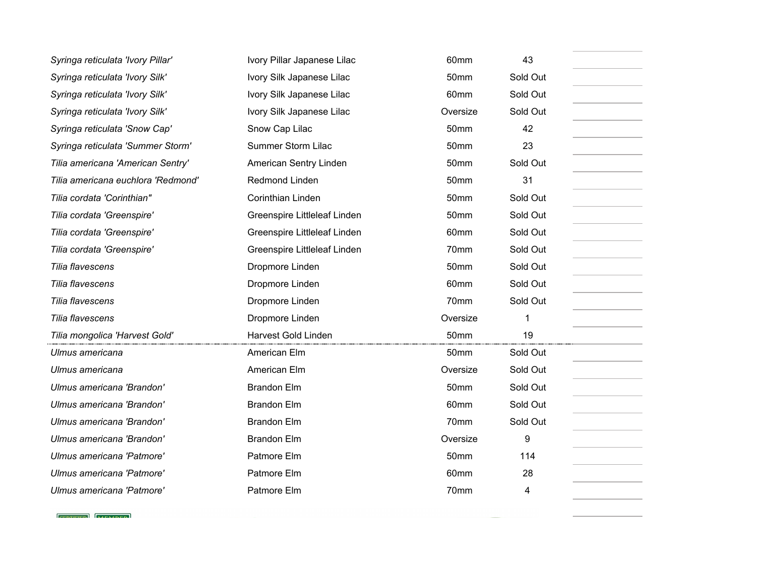| Syringa reticulata 'Ivory Pillar'  | Ivory Pillar Japanese Lilac  | 60mm             | 43       |
|------------------------------------|------------------------------|------------------|----------|
| Syringa reticulata 'Ivory Silk'    | Ivory Silk Japanese Lilac    | 50mm             | Sold Out |
| Syringa reticulata 'Ivory Silk'    | Ivory Silk Japanese Lilac    | 60mm             | Sold Out |
| Syringa reticulata 'Ivory Silk'    | Ivory Silk Japanese Lilac    | Oversize         | Sold Out |
| Syringa reticulata 'Snow Cap'      | Snow Cap Lilac               | 50mm             | 42       |
| Syringa reticulata 'Summer Storm'  | Summer Storm Lilac           | 50mm             | 23       |
| Tilia americana 'American Sentry'  | American Sentry Linden       | 50mm             | Sold Out |
| Tilia americana euchlora 'Redmond' | Redmond Linden               | 50 <sub>mm</sub> | 31       |
| Tilia cordata 'Corinthian"         | Corinthian Linden            | 50mm             | Sold Out |
| Tilia cordata 'Greenspire'         | Greenspire Littleleaf Linden | 50mm             | Sold Out |
| Tilia cordata 'Greenspire'         | Greenspire Littleleaf Linden | 60mm             | Sold Out |
| Tilia cordata 'Greenspire'         | Greenspire Littleleaf Linden | 70mm             | Sold Out |
| Tilia flavescens                   | Dropmore Linden              | 50 <sub>mm</sub> | Sold Out |
| Tilia flavescens                   | Dropmore Linden              | 60mm             | Sold Out |
| Tilia flavescens                   | Dropmore Linden              | 70mm             | Sold Out |
| Tilia flavescens                   | Dropmore Linden              | Oversize         | 1        |
| Tilia mongolica 'Harvest Gold'     | Harvest Gold Linden          | 50mm             | 19       |
| Ulmus americana                    | American Elm                 | 50 <sub>mm</sub> | Sold Out |
| Ulmus americana                    | American Elm                 | Oversize         | Sold Out |
| Ulmus americana 'Brandon'          | <b>Brandon Elm</b>           | 50mm             | Sold Out |
| Ulmus americana 'Brandon'          | <b>Brandon Elm</b>           | 60mm             | Sold Out |
| Ulmus americana 'Brandon'          | <b>Brandon Elm</b>           | 70mm             | Sold Out |
| Ulmus americana 'Brandon'          | <b>Brandon Elm</b>           | Oversize         | 9        |
| Ulmus americana 'Patmore'          | Patmore Elm                  | 50mm             | 114      |
| Ulmus americana 'Patmore'          | Patmore Elm                  | 60mm             | 28       |
| Ulmus americana 'Patmore'          | Patmore Elm                  | 70mm             | 4        |
|                                    |                              |                  |          |

**Contract Contract Contract Contract** 

 $[$